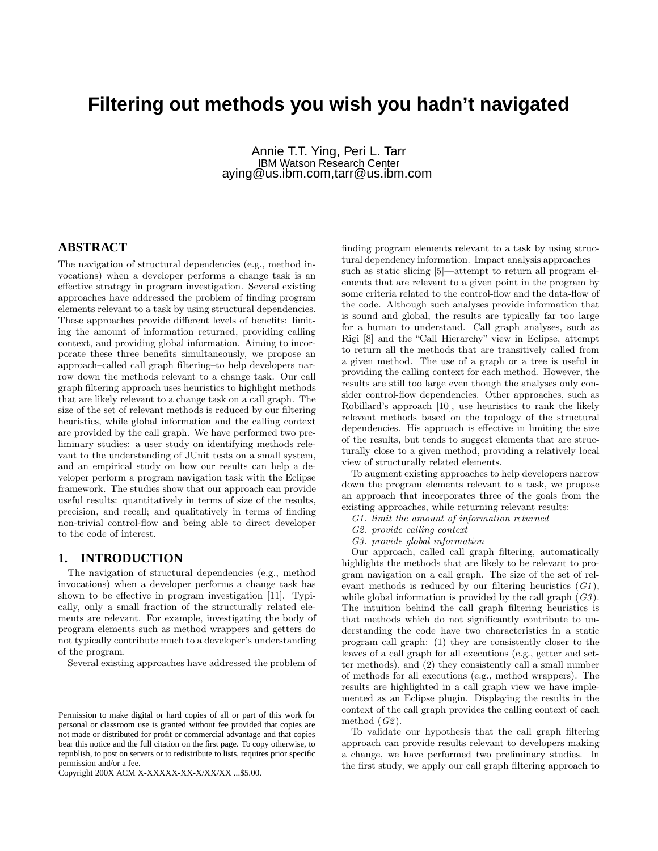# **Filtering out methods you wish you hadn't navigated**

Annie T.T. Ying, Peri L. Tarr IBM Watson Research Center aying@us.ibm.com,tarr@us.ibm.com

## **ABSTRACT**

The navigation of structural dependencies (e.g., method invocations) when a developer performs a change task is an effective strategy in program investigation. Several existing approaches have addressed the problem of finding program elements relevant to a task by using structural dependencies. These approaches provide different levels of benefits: limiting the amount of information returned, providing calling context, and providing global information. Aiming to incorporate these three benefits simultaneously, we propose an approach–called call graph filtering–to help developers narrow down the methods relevant to a change task. Our call graph filtering approach uses heuristics to highlight methods that are likely relevant to a change task on a call graph. The size of the set of relevant methods is reduced by our filtering heuristics, while global information and the calling context are provided by the call graph. We have performed two preliminary studies: a user study on identifying methods relevant to the understanding of JUnit tests on a small system, and an empirical study on how our results can help a developer perform a program navigation task with the Eclipse framework. The studies show that our approach can provide useful results: quantitatively in terms of size of the results, precision, and recall; and qualitatively in terms of finding non-trivial control-flow and being able to direct developer to the code of interest.

## **1. INTRODUCTION**

The navigation of structural dependencies (e.g., method invocations) when a developer performs a change task has shown to be effective in program investigation [11]. Typically, only a small fraction of the structurally related elements are relevant. For example, investigating the body of program elements such as method wrappers and getters do not typically contribute much to a developer's understanding of the program.

Several existing approaches have addressed the problem of

Copyright 200X ACM X-XXXXX-XX-X/XX/XX ...\$5.00.

finding program elements relevant to a task by using structural dependency information. Impact analysis approaches such as static slicing [5]—attempt to return all program elements that are relevant to a given point in the program by some criteria related to the control-flow and the data-flow of the code. Although such analyses provide information that is sound and global, the results are typically far too large for a human to understand. Call graph analyses, such as Rigi [8] and the "Call Hierarchy" view in Eclipse, attempt to return all the methods that are transitively called from a given method. The use of a graph or a tree is useful in providing the calling context for each method. However, the results are still too large even though the analyses only consider control-flow dependencies. Other approaches, such as Robillard's approach [10], use heuristics to rank the likely relevant methods based on the topology of the structural dependencies. His approach is effective in limiting the size of the results, but tends to suggest elements that are structurally close to a given method, providing a relatively local view of structurally related elements.

To augment existing approaches to help developers narrow down the program elements relevant to a task, we propose an approach that incorporates three of the goals from the existing approaches, while returning relevant results:

- G1. limit the amount of information returned
- G2. provide calling context
- G3. provide global information

Our approach, called call graph filtering, automatically highlights the methods that are likely to be relevant to program navigation on a call graph. The size of the set of relevant methods is reduced by our filtering heuristics  $(G1)$ , while global information is provided by the call graph  $(G3)$ . The intuition behind the call graph filtering heuristics is that methods which do not significantly contribute to understanding the code have two characteristics in a static program call graph: (1) they are consistently closer to the leaves of a call graph for all executions (e.g., getter and setter methods), and (2) they consistently call a small number of methods for all executions (e.g., method wrappers). The results are highlighted in a call graph view we have implemented as an Eclipse plugin. Displaying the results in the context of the call graph provides the calling context of each method  $(G2)$ .

To validate our hypothesis that the call graph filtering approach can provide results relevant to developers making a change, we have performed two preliminary studies. In the first study, we apply our call graph filtering approach to

Permission to make digital or hard copies of all or part of this work for personal or classroom use is granted without fee provided that copies are not made or distributed for profit or commercial advantage and that copies bear this notice and the full citation on the first page. To copy otherwise, to republish, to post on servers or to redistribute to lists, requires prior specific permission and/or a fee.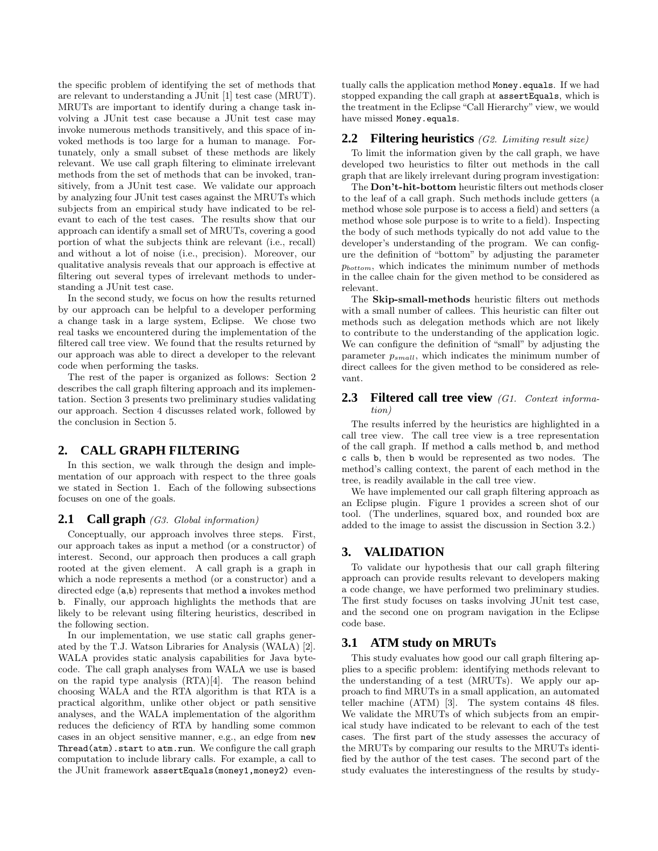the specific problem of identifying the set of methods that are relevant to understanding a JUnit [1] test case (MRUT). MRUTs are important to identify during a change task involving a JUnit test case because a JUnit test case may invoke numerous methods transitively, and this space of invoked methods is too large for a human to manage. Fortunately, only a small subset of these methods are likely relevant. We use call graph filtering to eliminate irrelevant methods from the set of methods that can be invoked, transitively, from a JUnit test case. We validate our approach by analyzing four JUnit test cases against the MRUTs which subjects from an empirical study have indicated to be relevant to each of the test cases. The results show that our approach can identify a small set of MRUTs, covering a good portion of what the subjects think are relevant (i.e., recall) and without a lot of noise (i.e., precision). Moreover, our qualitative analysis reveals that our approach is effective at filtering out several types of irrelevant methods to understanding a JUnit test case.

In the second study, we focus on how the results returned by our approach can be helpful to a developer performing a change task in a large system, Eclipse. We chose two real tasks we encountered during the implementation of the filtered call tree view. We found that the results returned by our approach was able to direct a developer to the relevant code when performing the tasks.

The rest of the paper is organized as follows: Section 2 describes the call graph filtering approach and its implementation. Section 3 presents two preliminary studies validating our approach. Section 4 discusses related work, followed by the conclusion in Section 5.

## **2. CALL GRAPH FILTERING**

In this section, we walk through the design and implementation of our approach with respect to the three goals we stated in Section 1. Each of the following subsections focuses on one of the goals.

## **2.1 Call graph** (G3. Global information)

Conceptually, our approach involves three steps. First, our approach takes as input a method (or a constructor) of interest. Second, our approach then produces a call graph rooted at the given element. A call graph is a graph in which a node represents a method (or a constructor) and a directed edge  $(a,b)$  represents that method a invokes method b. Finally, our approach highlights the methods that are likely to be relevant using filtering heuristics, described in the following section.

In our implementation, we use static call graphs generated by the T.J. Watson Libraries for Analysis (WALA) [2]. WALA provides static analysis capabilities for Java bytecode. The call graph analyses from WALA we use is based on the rapid type analysis (RTA)[4]. The reason behind choosing WALA and the RTA algorithm is that RTA is a practical algorithm, unlike other object or path sensitive analyses, and the WALA implementation of the algorithm reduces the deficiency of RTA by handling some common cases in an object sensitive manner, e.g., an edge from new Thread(atm).start to atm.run. We configure the call graph computation to include library calls. For example, a call to the JUnit framework assertEquals(money1,money2) eventually calls the application method Money.equals. If we had stopped expanding the call graph at assertEquals, which is the treatment in the Eclipse "Call Hierarchy" view, we would have missed Money.equals.

#### **2.2 Filtering heuristics** (G2. Limiting result size)

To limit the information given by the call graph, we have developed two heuristics to filter out methods in the call graph that are likely irrelevant during program investigation:

The Don't-hit-bottom heuristic filters out methods closer to the leaf of a call graph. Such methods include getters (a method whose sole purpose is to access a field) and setters (a method whose sole purpose is to write to a field). Inspecting the body of such methods typically do not add value to the developer's understanding of the program. We can configure the definition of "bottom" by adjusting the parameter pbottom, which indicates the minimum number of methods in the callee chain for the given method to be considered as relevant.

The Skip-small-methods heuristic filters out methods with a small number of callees. This heuristic can filter out methods such as delegation methods which are not likely to contribute to the understanding of the application logic. We can configure the definition of "small" by adjusting the parameter  $p_{small}$ , which indicates the minimum number of direct callees for the given method to be considered as relevant.

### **2.3 Filtered call tree view** (G1. Context information)

The results inferred by the heuristics are highlighted in a call tree view. The call tree view is a tree representation of the call graph. If method a calls method b, and method c calls b, then b would be represented as two nodes. The method's calling context, the parent of each method in the tree, is readily available in the call tree view.

We have implemented our call graph filtering approach as an Eclipse plugin. Figure 1 provides a screen shot of our tool. (The underlines, squared box, and rounded box are added to the image to assist the discussion in Section 3.2.)

## **3. VALIDATION**

To validate our hypothesis that our call graph filtering approach can provide results relevant to developers making a code change, we have performed two preliminary studies. The first study focuses on tasks involving JUnit test case, and the second one on program navigation in the Eclipse code base.

## **3.1 ATM study on MRUTs**

This study evaluates how good our call graph filtering applies to a specific problem: identifying methods relevant to the understanding of a test (MRUTs). We apply our approach to find MRUTs in a small application, an automated teller machine (ATM) [3]. The system contains 48 files. We validate the MRUTs of which subjects from an empirical study have indicated to be relevant to each of the test cases. The first part of the study assesses the accuracy of the MRUTs by comparing our results to the MRUTs identified by the author of the test cases. The second part of the study evaluates the interestingness of the results by study-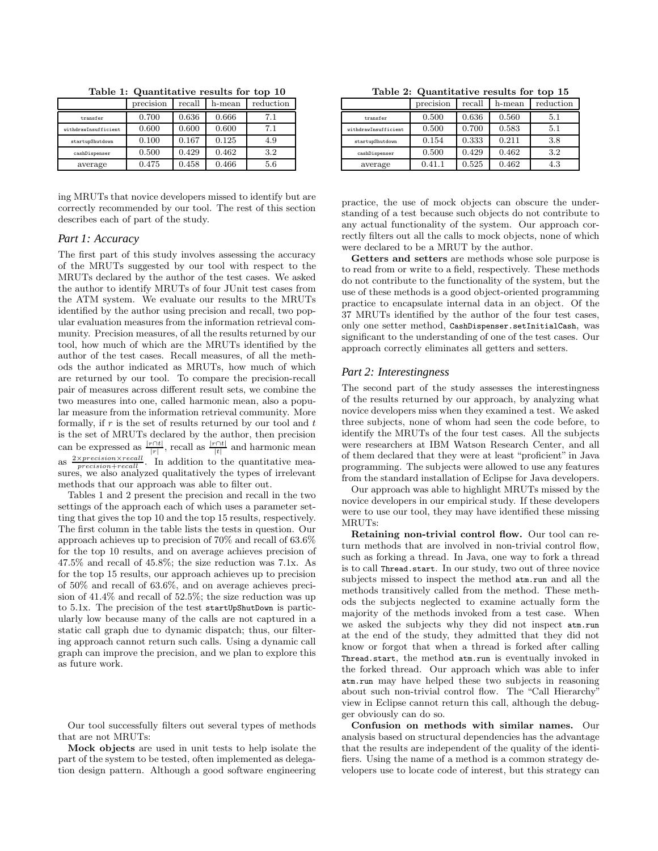precision recall h-mean reduction transfer 0.700 0.636 0.666 7.1 withdrawInsufficient 0.600 0.600 0.600 7.1 startupShutdown 0.100 0.167 0.125 4.9  $\frac{1}{\cosh\text{Dispenser}}$  0.500 0.429 0.462 3.2 average 0.475 0.458 0.466 5.6

Table 1: Quantitative results for top 10

ing MRUTs that novice developers missed to identify but are correctly recommended by our tool. The rest of this section describes each of part of the study.

#### *Part 1: Accuracy*

The first part of this study involves assessing the accuracy of the MRUTs suggested by our tool with respect to the MRUTs declared by the author of the test cases. We asked the author to identify MRUTs of four JUnit test cases from the ATM system. We evaluate our results to the MRUTs identified by the author using precision and recall, two popular evaluation measures from the information retrieval community. Precision measures, of all the results returned by our tool, how much of which are the MRUTs identified by the author of the test cases. Recall measures, of all the methods the author indicated as MRUTs, how much of which are returned by our tool. To compare the precision-recall pair of measures across different result sets, we combine the two measures into one, called harmonic mean, also a popular measure from the information retrieval community. More formally, if  $r$  is the set of results returned by our tool and  $t$ is the set of MRUTs declared by the author, then precision can be expressed as  $\frac{|r \cap t|}{|r|}$ , recall as  $\frac{|r \cap t|}{|t|}$  and harmonic mean as  $\frac{2 \times precision \times recall}{precision + recall}$ . In addition to the quantitative measures, we also analyzed qualitatively the types of irrelevant methods that our approach was able to filter out.

Tables 1 and 2 present the precision and recall in the two settings of the approach each of which uses a parameter setting that gives the top 10 and the top 15 results, respectively. The first column in the table lists the tests in question. Our approach achieves up to precision of 70% and recall of 63.6% for the top 10 results, and on average achieves precision of 47.5% and recall of 45.8%; the size reduction was 7.1x. As for the top 15 results, our approach achieves up to precision of 50% and recall of 63.6%, and on average achieves precision of 41.4% and recall of 52.5%; the size reduction was up to 5.1x. The precision of the test startUpShutDown is particularly low because many of the calls are not captured in a static call graph due to dynamic dispatch; thus, our filtering approach cannot return such calls. Using a dynamic call graph can improve the precision, and we plan to explore this as future work.

Our tool successfully filters out several types of methods that are not MRUTs:

Mock objects are used in unit tests to help isolate the part of the system to be tested, often implemented as delegation design pattern. Although a good software engineering

Table 2: Quantitative results for top 15

|                      | precision | recall | $_{\rm h-mean}$ | reduction |
|----------------------|-----------|--------|-----------------|-----------|
| transfer             | 0.500     | 0.636  | 0.560           | 5.1       |
| withdrawInsufficient | 0.500     | 0.700  | 0.583           | 5.1       |
| startupShutdown      | 0.154     | 0.333  | 0.211           | 3.8       |
| cashDispenser        | 0.500     | 0.429  | 0.462           | 3.2       |
| average              | 0.41.1    | 0.525  | 0.462           | 4.3       |

practice, the use of mock objects can obscure the understanding of a test because such objects do not contribute to any actual functionality of the system. Our approach correctly filters out all the calls to mock objects, none of which were declared to be a MRUT by the author.

Getters and setters are methods whose sole purpose is to read from or write to a field, respectively. These methods do not contribute to the functionality of the system, but the use of these methods is a good object-oriented programming practice to encapsulate internal data in an object. Of the 37 MRUTs identified by the author of the four test cases, only one setter method, CashDispenser.setInitialCash, was significant to the understanding of one of the test cases. Our approach correctly eliminates all getters and setters.

## *Part 2: Interestingness*

The second part of the study assesses the interestingness of the results returned by our approach, by analyzing what novice developers miss when they examined a test. We asked three subjects, none of whom had seen the code before, to identify the MRUTs of the four test cases. All the subjects were researchers at IBM Watson Research Center, and all of them declared that they were at least "proficient" in Java programming. The subjects were allowed to use any features from the standard installation of Eclipse for Java developers.

Our approach was able to highlight MRUTs missed by the novice developers in our empirical study. If these developers were to use our tool, they may have identified these missing MRUTs:

Retaining non-trivial control flow. Our tool can return methods that are involved in non-trivial control flow, such as forking a thread. In Java, one way to fork a thread is to call Thread.start. In our study, two out of three novice subjects missed to inspect the method atm.run and all the methods transitively called from the method. These methods the subjects neglected to examine actually form the majority of the methods invoked from a test case. When we asked the subjects why they did not inspect atm.run at the end of the study, they admitted that they did not know or forgot that when a thread is forked after calling Thread.start, the method atm.run is eventually invoked in the forked thread. Our approach which was able to infer atm.run may have helped these two subjects in reasoning about such non-trivial control flow. The "Call Hierarchy" view in Eclipse cannot return this call, although the debugger obviously can do so.

Confusion on methods with similar names. Our analysis based on structural dependencies has the advantage that the results are independent of the quality of the identifiers. Using the name of a method is a common strategy developers use to locate code of interest, but this strategy can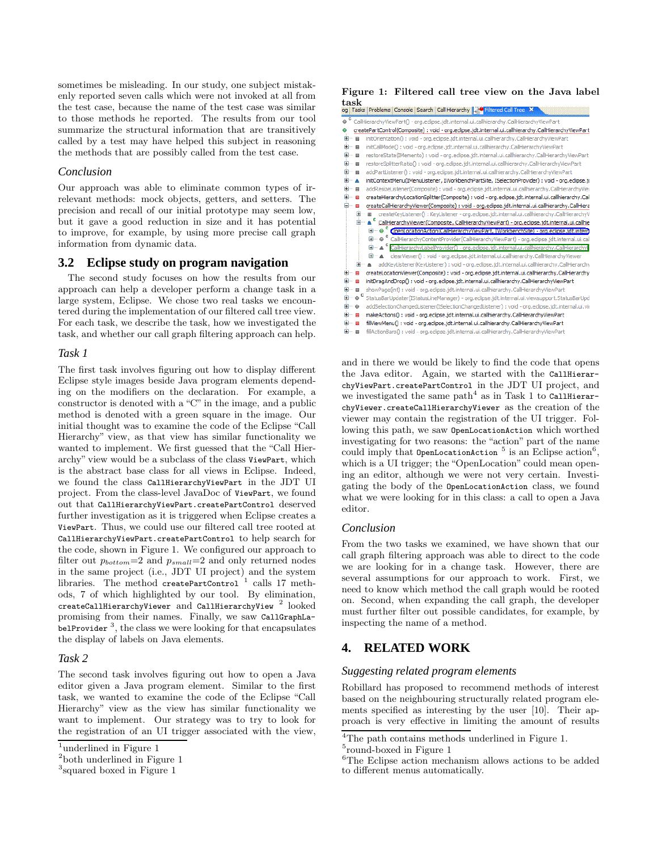sometimes be misleading. In our study, one subject mistakenly reported seven calls which were not invoked at all from the test case, because the name of the test case was similar to those methods he reported. The results from our tool summarize the structural information that are transitively called by a test may have helped this subject in reasoning the methods that are possibly called from the test case.

#### *Conclusion*

Our approach was able to eliminate common types of irrelevant methods: mock objects, getters, and setters. The precision and recall of our initial prototype may seem low, but it gave a good reduction in size and it has potential to improve, for example, by using more precise call graph information from dynamic data.

#### **3.2 Eclipse study on program navigation**

The second study focuses on how the results from our approach can help a developer perform a change task in a large system, Eclipse. We chose two real tasks we encountered during the implementation of our filtered call tree view. For each task, we describe the task, how we investigated the task, and whether our call graph filtering approach can help.

#### *Task 1*

The first task involves figuring out how to display different Eclipse style images beside Java program elements depending on the modifiers on the declaration. For example, a constructor is denoted with a "C" in the image, and a public method is denoted with a green square in the image. Our initial thought was to examine the code of the Eclipse "Call Hierarchy" view, as that view has similar functionality we wanted to implement. We first guessed that the "Call Hierarchy" view would be a subclass of the class ViewPart, which is the abstract base class for all views in Eclipse. Indeed, we found the class CallHierarchyViewPart in the JDT UI project. From the class-level JavaDoc of ViewPart, we found out that CallHierarchyViewPart.createPartControl deserved further investigation as it is triggered when Eclipse creates a ViewPart. Thus, we could use our filtered call tree rooted at CallHierarchyViewPart.createPartControl to help search for the code, shown in Figure 1. We configured our approach to filter out  $p_{bottom}=2$  and  $p_{small}=2$  and only returned nodes in the same project (i.e., JDT UI project) and the system libraries. The method createPartControl<sup>1</sup> calls 17 methods, 7 of which highlighted by our tool. By elimination,  $\emph{createCallHierarchy}$ Viewer and CallHierarchyView  $^2$  looked promising from their names. Finally, we saw CallGraphLabelProvider<sup>3</sup>, the class we were looking for that encapsulates the display of labels on Java elements.

#### *Task 2*

The second task involves figuring out how to open a Java editor given a Java program element. Similar to the first task, we wanted to examine the code of the Eclipse "Call Hierarchy" view as the view has similar functionality we want to implement. Our strategy was to try to look for the registration of an UI trigger associated with the view,

#### Figure 1: Filtered call tree view on the Java label task ua | Canaela | Canaela | Call Hierarchu | 1

| a              |                | Tasks Problems Console Search Call Hierarchy 1.29 Filtered Call free X.                              |
|----------------|----------------|------------------------------------------------------------------------------------------------------|
| $\overline{c}$ |                | CallHierarchyViewPart() - org.edipse.jdt.internal.ui.callhierarchy.CallHierarchyViewPart             |
|                |                | createPartControl(Composite) : void - org.edipse.jdt.internal.ui.callhierarchy.CallHierarchyViewPart |
| ∃ ⊞            |                | initOrientation(): void - org.edipse.jdt.internal.ui.callhierarchy.CallHierarchyViewPart             |
| ∓              | <b>B</b>       | initCallMode(): void - org.eclipse.jdt.internal.ui.callhierarchy.CallHierarchyViewPart               |
| Ŧ              | 盘              | restoreState(IMemento) : void - org.eclipse.jdt.internal.ui.callhierarchy.CallHierarchyViewPart      |
|                | 囲              | restoreSplitterRatio(): void - org.edipse.jdt.internal.ui.callhierarchy.CallHierarchyViewPart        |
|                | 固              | addPartListener() ; void - org.edipse.idt.internal.ui.callhierarchy.CallHierarchyViewPart            |
|                | A              | initContextMenu(IMenuListener, IWorkbenchPartSite, ISelectionProvider) : void - org.eclipse.jo       |
|                | 品              | addResizeListener(Composite) : void - org.eclipse.jdt.internal.ui.callhierarchy.CallHierarchyViev    |
| Ŧ              | 齒              | createHierarchyLocationSplitter(Composite) : void - org.edipse.jdt.internal.ui.callhierarchy.Cal     |
| ۳              | 齹              | createCallHierarchyViewer(Composite) : void - org.eclipse.jdt.internal.ui.callhierarchy.CallHiera    |
|                | Œ              | createKeyListener() : KeyListener - org.edipse.jdt.internal.ui.callhierarchy.CallHierarchyV<br>田     |
|                |                | CallHierarchyViewer(Composite, CallHierarchyViewPart) - org.eclipse.jdt.internal.ui.callhie          |
|                |                | OpenLocationAction(CaliHierarchyViewPart, IWorkbenchSite) - org.eclipse.jdt.interr<br>⊞… ⊜           |
|                |                | CallHierarchyContentProvider(CallHierarchyViewPart) - org.eclipse.jdt.internal.ui.cal<br>$\circ$     |
|                |                | D - A CallHierarchyLabelProvider() - org.edipse.jdt.internal.ui.callhierarchy.CallHierarchy          |
|                |                | dearViewer(): void - org.eclipse.idt.internal.ui.callhierarchy.CallHierarchyViewer<br>E 4            |
|                | Θ              | addKeyListener(KeyListener) : void - org.eclipse.jdt.internal.ui.callhierarchy.CallHierarchy         |
| Ŧ              | 菌              | createLocationViewer(Composite) : void - org.edipse.jdt.internal.ui.callhierarchy.CallHierarchy      |
| Đ              | -- 2           | initDragAndDrop() : void - org.eclipse.jdt.internal.ui.callhierarchy.CallHierarchyViewPart           |
| Ŧ              | -- 28          | showPage(int): void - org.edipse.jdt.internal.ui.callhierarchy.CallHierarchyViewPart                 |
| Ŧ              | - 0            | StatusBarUpdater(IStatusLineManager) - org.edipse.jdt.internal.ui.viewsupport.StatusBarUpd           |
| Ŧ              | $\ddot{\circ}$ | addSelectionChangedListener(ISelectionChangedListener) : void - org.edipse.idt.internal.ui.vir       |
| Đ<br>$\cdots$  | 蘭              | makeActions(): void - org.eclipse.jdt.internal.ui.callhierarchy.CallHierarchyViewPart                |
| Ŧ              | 商              | fillViewMenu(): void - org.eclipse.jdt.internal.ui.callhierarchy.CallHierarchyViewPart               |
| $\pm$          | 國              | fillActionBars(): void - org.eclipse.jdt.internal.ui.callhierarchy.CallHierarchyViewPart             |
|                |                |                                                                                                      |

and in there we would be likely to find the code that opens the Java editor. Again, we started with the CallHierarchyViewPart.createPartControl in the JDT UI project, and we investigated the same path<sup>4</sup> as in Task 1 to CallHierarchyViewer.createCallHierarchyViewer as the creation of the viewer may contain the registration of the UI trigger. Following this path, we saw OpenLocationAction which worthed investigating for two reasons: the "action" part of the name could imply that  $0$ penLocationAction<sup>5</sup> is an Eclipse action<sup>6</sup>, which is a UI trigger; the "OpenLocation" could mean opening an editor, although we were not very certain. Investigating the body of the OpenLocationAction class, we found what we were looking for in this class: a call to open a Java editor.

#### *Conclusion*

From the two tasks we examined, we have shown that our call graph filtering approach was able to direct to the code we are looking for in a change task. However, there are several assumptions for our approach to work. First, we need to know which method the call graph would be rooted on. Second, when expanding the call graph, the developer must further filter out possible candidates, for example, by inspecting the name of a method.

## **4. RELATED WORK**

#### *Suggesting related program elements*

Robillard has proposed to recommend methods of interest based on the neighbouring structurally related program elements specified as interesting by the user [10]. Their approach is very effective in limiting the amount of results

<sup>&</sup>lt;sup>1</sup>underlined in Figure 1

<sup>2</sup> both underlined in Figure 1

<sup>3</sup> squared boxed in Figure 1

<sup>&</sup>lt;sup>4</sup>The path contains methods underlined in Figure 1.

<sup>5</sup> round-boxed in Figure 1

 ${}^{6}$ The Eclipse action mechanism allows actions to be added to different menus automatically.